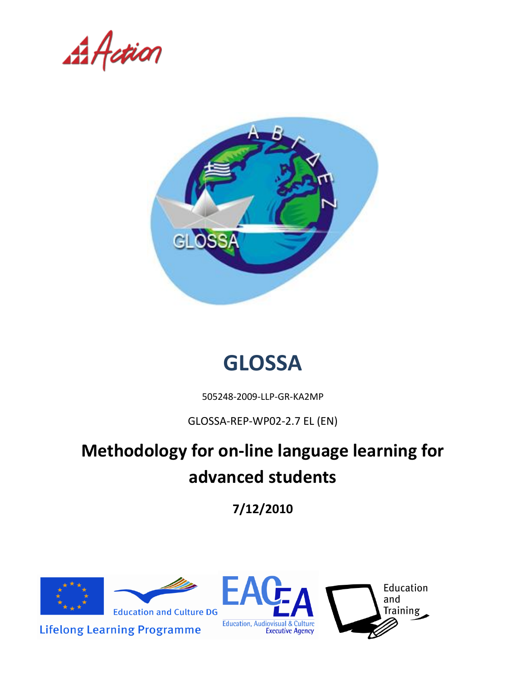$A$ Action



# **GLOSSA**

505248-2009-LLP-GR-KA2MP

GLOSSA-REP-WP02-2.7 EL (EN)

# **Methodology for on-line language learning for advanced students**

**7/12/2010**

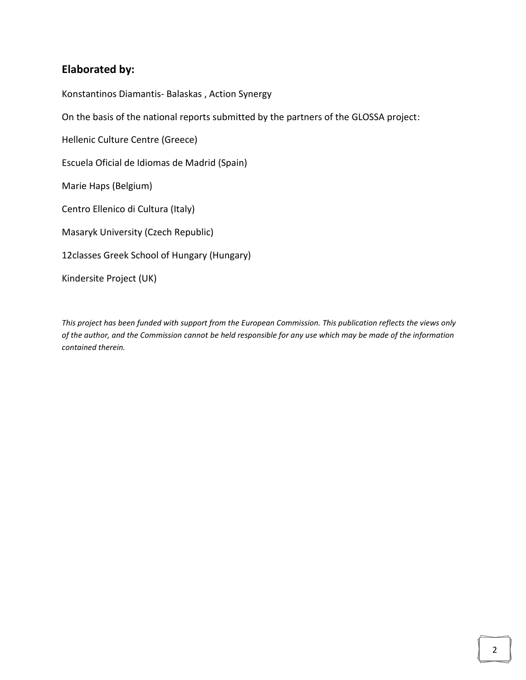### **Elaborated by:**

Konstantinos Diamantis- Balaskas , Action Synergy

On the basis of the national reports submitted by the partners of the GLOSSA project:

Hellenic Culture Centre (Greece)

Escuela Oficial de Idiomas de Madrid (Spain)

Marie Haps (Belgium)

Centro Ellenico di Cultura (Italy)

Masaryk University (Czech Republic)

12classes Greek School of Hungary (Hungary)

Kindersite Project (UK)

*This project has been funded with support from the European Commission. This publication reflects the views only of the author, and the Commission cannot be held responsible for any use which may be made of the information contained therein.*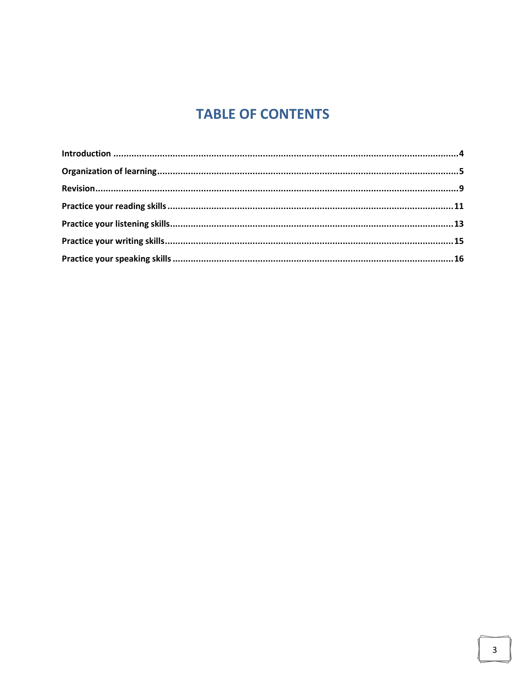### **TABLE OF CONTENTS**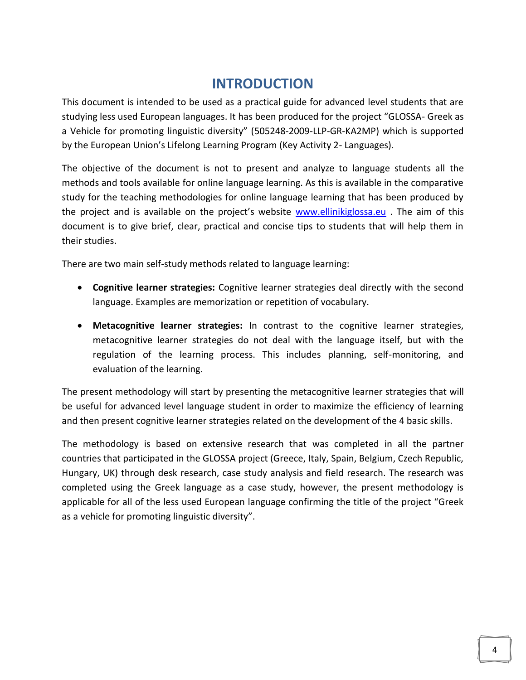### **INTRODUCTION**

This document is intended to be used as a practical guide for advanced level students that are studying less used European languages. It has been produced for the project "GLOSSA- Greek as a Vehicle for promoting linguistic diversity" (505248-2009-LLP-GR-KA2MP) which is supported by the European Union's Lifelong Learning Program (Key Activity 2- Languages).

The objective of the document is not to present and analyze to language students all the methods and tools available for online language learning. As this is available in the comparative study for the teaching methodologies for online language learning that has been produced by the project and is available on the project's website [www.ellinikiglossa.eu](http://www.ellinikiglossa.eu/). The aim of this document is to give brief, clear, practical and concise tips to students that will help them in their studies.

There are two main self-study methods related to language learning:

- **Cognitive learner strategies:** Cognitive learner strategies deal directly with the second language. Examples are memorization or repetition of vocabulary.
- **Metacognitive learner strategies:** In contrast to the cognitive learner strategies, metacognitive learner strategies do not deal with the language itself, but with the regulation of the learning process. This includes planning, self-monitoring, and evaluation of the learning.

The present methodology will start by presenting the metacognitive learner strategies that will be useful for advanced level language student in order to maximize the efficiency of learning and then present cognitive learner strategies related on the development of the 4 basic skills.

The methodology is based on extensive research that was completed in all the partner countries that participated in the GLOSSA project (Greece, Italy, Spain, Belgium, Czech Republic, Hungary, UK) through desk research, case study analysis and field research. The research was completed using the Greek language as a case study, however, the present methodology is applicable for all of the less used European language confirming the title of the project "Greek as a vehicle for promoting linguistic diversity".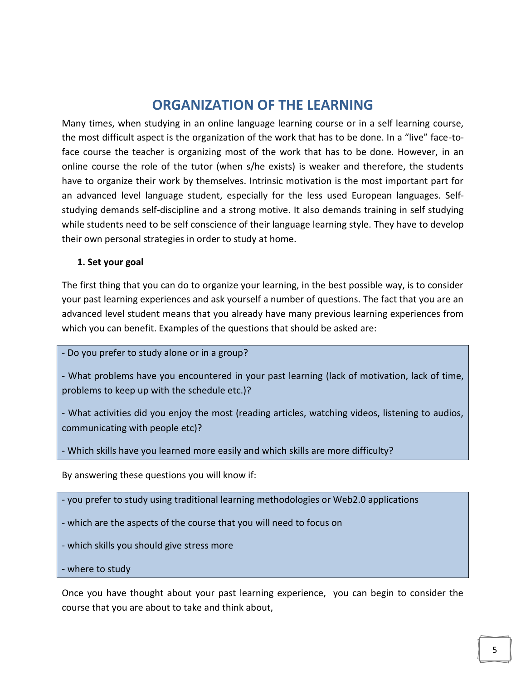### **ORGANIZATION OF THE LEARNING**

Many times, when studying in an online language learning course or in a self learning course, the most difficult aspect is the organization of the work that has to be done. In a "live" face-toface course the teacher is organizing most of the work that has to be done. However, in an online course the role of the tutor (when s/he exists) is weaker and therefore, the students have to organize their work by themselves. Intrinsic motivation is the most important part for an advanced level language student, especially for the less used European languages. Selfstudying demands self-discipline and a strong motive. It also demands training in self studying while students need to be self conscience of their language learning style. They have to develop their own personal strategies in order to study at home.

#### **1. Set your goal**

The first thing that you can do to organize your learning, in the best possible way, is to consider your past learning experiences and ask yourself a number of questions. The fact that you are an advanced level student means that you already have many previous learning experiences from which you can benefit. Examples of the questions that should be asked are:

- Do you prefer to study alone or in a group?

- What problems have you encountered in your past learning (lack of motivation, lack of time, problems to keep up with the schedule etc.)?

- What activities did you enjoy the most (reading articles, watching videos, listening to audios, communicating with people etc)?

- Which skills have you learned more easily and which skills are more difficulty?

By answering these questions you will know if:

- you prefer to study using traditional learning methodologies or Web2.0 applications

- which are the aspects of the course that you will need to focus on

- which skills you should give stress more

- where to study

Once you have thought about your past learning experience, you can begin to consider the course that you are about to take and think about,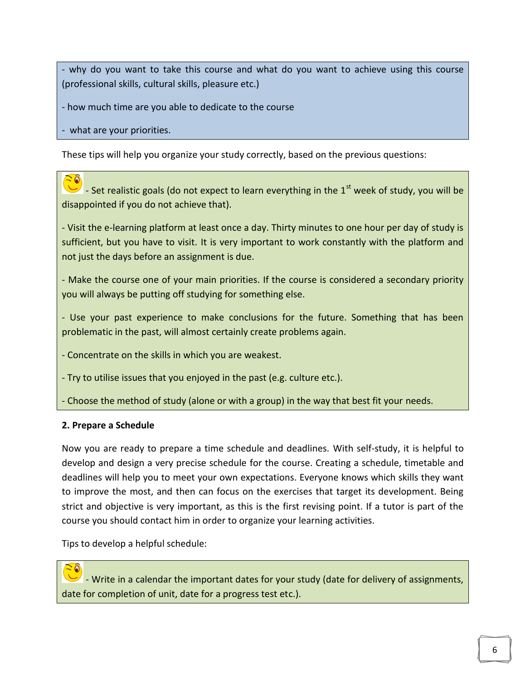- why do you want to take this course and what do you want to achieve using this course (professional skills, cultural skills, pleasure etc.)

- how much time are you able to dedicate to the course

- what are your priorities.

These tips will help you organize your study correctly, based on the previous questions:

- Set realistic goals (do not expect to learn everything in the 1<sup>st</sup> week of study, you will be disappointed if you do not achieve that).

- Visit the e-learning platform at least once a day. Thirty minutes to one hour per day of study is sufficient, but you have to visit. It is very important to work constantly with the platform and not just the days before an assignment is due.

- Make the course one of your main priorities. If the course is considered a secondary priority you will always be putting off studying for something else.

- Use your past experience to make conclusions for the future. Something that has been problematic in the past, will almost certainly create problems again.

- Concentrate on the skills in which you are weakest.

- Try to utilise issues that you enjoyed in the past (e.g. culture etc.).

- Choose the method of study (alone or with a group) in the way that best fit your needs.

#### **2. Prepare a Schedule**

Now you are ready to prepare a time schedule and deadlines. With self-study, it is helpful to develop and design a very precise schedule for the course. Creating a schedule, timetable and deadlines will help you to meet your own expectations. Everyone knows which skills they want to improve the most, and then can focus on the exercises that target its development. Being strict and objective is very important, as this is the first revising point. If a tutor is part of the course you should contact him in order to organize your learning activities.

Tips to develop a helpful schedule:

- Write in a calendar the important dates for your study (date for delivery of assignments, date for completion of unit, date for a progress test etc.).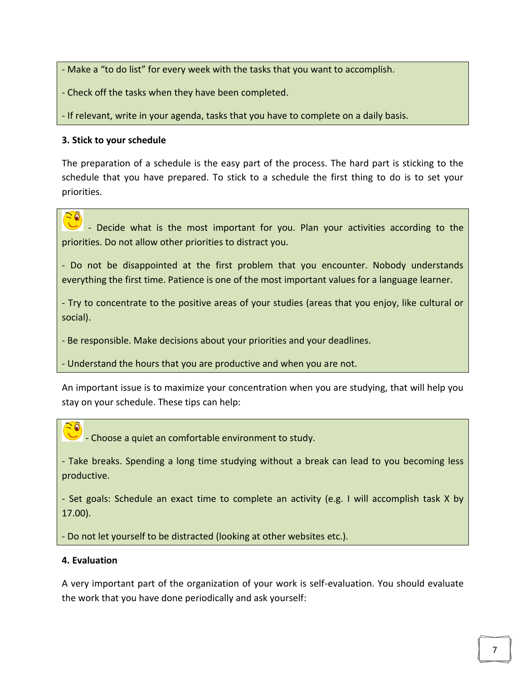- Make a "to do list" for every week with the tasks that you want to accomplish.
- Check off the tasks when they have been completed.
- If relevant, write in your agenda, tasks that you have to complete on a daily basis.

#### **3. Stick to your schedule**

The preparation of a schedule is the easy part of the process. The hard part is sticking to the schedule that you have prepared. To stick to a schedule the first thing to do is to set your priorities.

- Decide what is the most important for you. Plan your activities according to the priorities. Do not allow other priorities to distract you.

- Do not be disappointed at the first problem that you encounter. Nobody understands everything the first time. Patience is one of the most important values for a language learner.

- Try to concentrate to the positive areas of your studies (areas that you enjoy, like cultural or social).

- Be responsible. Make decisions about your priorities and your deadlines.

- Understand the hours that you are productive and when you are not.

An important issue is to maximize your concentration when you are studying, that will help you stay on your schedule. These tips can help:



- Take breaks. Spending a long time studying without a break can lead to you becoming less productive.

- Set goals: Schedule an exact time to complete an activity (e.g. I will accomplish task X by 17.00).

- Do not let yourself to be distracted (looking at other websites etc.).

#### **4. Evaluation**

A very important part of the organization of your work is self-evaluation. You should evaluate the work that you have done periodically and ask yourself: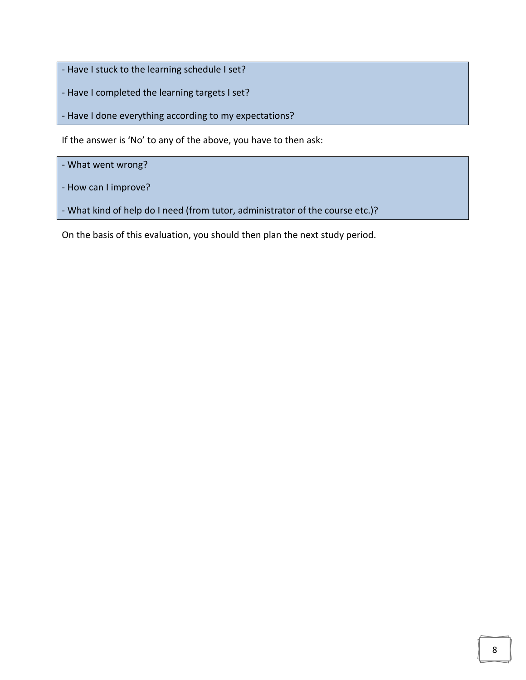- Have I stuck to the learning schedule I set?

- Have I completed the learning targets I set?
- Have I done everything according to my expectations?

If the answer is 'No' to any of the above, you have to then ask:

- What went wrong?

- How can I improve?

- What kind of help do I need (from tutor, administrator of the course etc.)?

On the basis of this evaluation, you should then plan the next study period.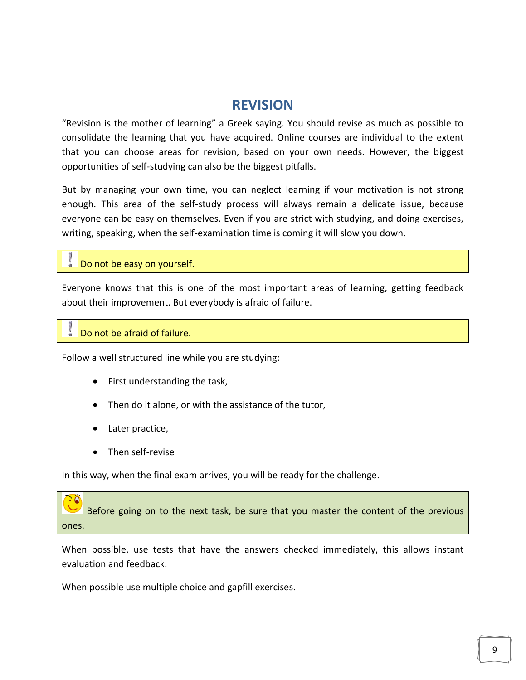### **REVISION**

"Revision is the mother of learning" a Greek saying. You should revise as much as possible to consolidate the learning that you have acquired. Online courses are individual to the extent that you can choose areas for revision, based on your own needs. However, the biggest opportunities of self-studying can also be the biggest pitfalls.

But by managing your own time, you can neglect learning if your motivation is not strong enough. This area of the self-study process will always remain a delicate issue, because everyone can be easy on themselves. Even if you are strict with studying, and doing exercises, writing, speaking, when the self-examination time is coming it will slow you down.

#### **Do not be easy on yourself.**

Everyone knows that this is one of the most important areas of learning, getting feedback about their improvement. But everybody is afraid of failure.

Do not be afraid of failure.

Follow a well structured line while you are studying:

- First understanding the task,
- Then do it alone, or with the assistance of the tutor,
- Later practice,
- Then self-revise

In this way, when the final exam arrives, you will be ready for the challenge.

Before going on to the next task, be sure that you master the content of the previous ones.

When possible, use tests that have the answers checked immediately, this allows instant evaluation and feedback.

When possible use multiple choice and gapfill exercises.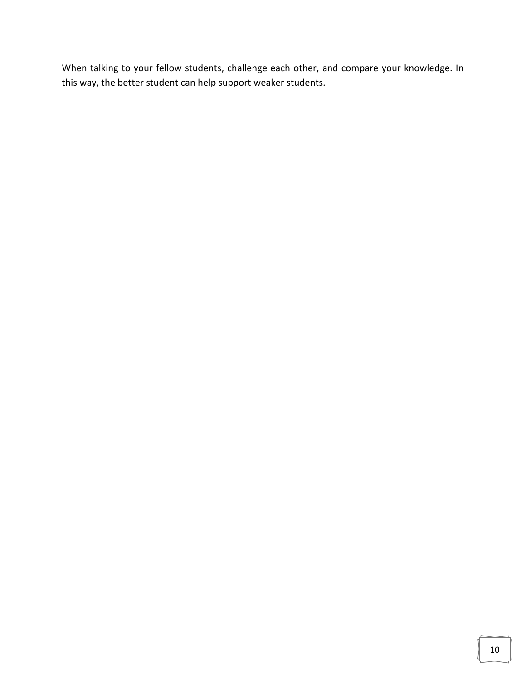When talking to your fellow students, challenge each other, and compare your knowledge. In this way, the better student can help support weaker students.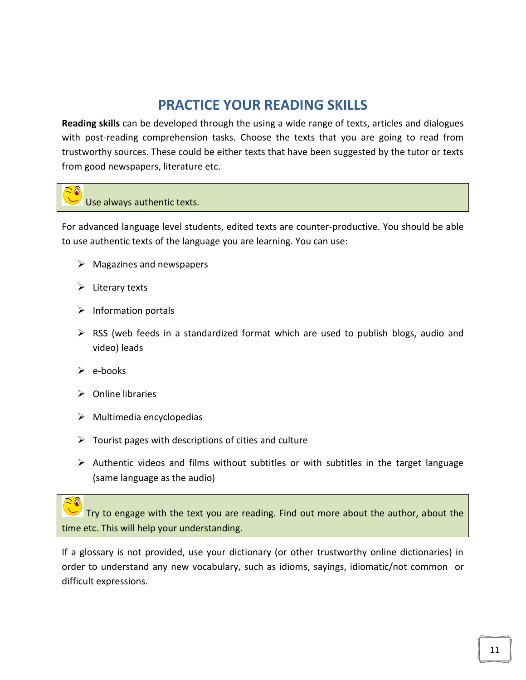### **PRACTICE YOUR READING SKILLS**

**Reading skills** can be developed through the using a wide range of texts, articles and dialogues with post-reading comprehension tasks. Choose the texts that you are going to read from trustworthy sources. These could be either texts that have been suggested by the tutor or texts from good newspapers, literature etc.

#### Use always authentic texts.

For advanced language level students, edited texts are counter-productive. You should be able to use authentic texts of the language you are learning. You can use:

- $\triangleright$  Magazines and newspapers
- $\triangleright$  Literary texts
- $\triangleright$  Information portals
- $\triangleright$  RSS [\(web feeds](http://en.wikipedia.org/wiki/Web_feed) in a standardized format which are used to publish [blogs](http://en.wikipedia.org/wiki/Blog), audio and video) leads
- $\triangleright$  e-books
- $\triangleright$  Online libraries
- $\triangleright$  Multimedia encyclopedias
- $\triangleright$  Tourist pages with descriptions of cities and culture
- $\triangleright$  Authentic videos and films without subtitles or with subtitles in the target language (same language as the audio)

Try to engage with the text you are reading. Find out more about the author, about the time etc. This will help your understanding.

If a glossary is not provided, use your dictionary (or other trustworthy online dictionaries) in order to understand any new vocabulary, such as idioms, sayings, idiomatic/not common or difficult expressions.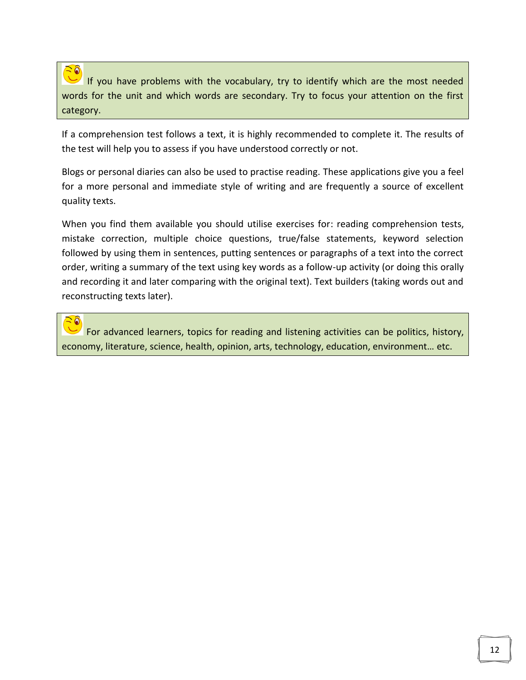If you have problems with the vocabulary, try to identify which are the most needed words for the unit and which words are secondary. Try to focus your attention on the first category.

If a comprehension test follows a text, it is highly recommended to complete it. The results of the test will help you to assess if you have understood correctly or not.

Blogs or personal diaries can also be used to practise reading. These applications give you a feel for a more personal and immediate style of writing and are frequently a source of excellent quality texts.

When you find them available you should utilise exercises for: reading comprehension tests, mistake correction, multiple choice questions, true/false statements, keyword selection followed by using them in sentences, putting sentences or paragraphs of a text into the correct order, writing a summary of the text using key words as a follow-up activity (or doing this orally and recording it and later comparing with the original text). Text builders (taking words out and reconstructing texts later).

For advanced learners, topics for reading and listening activities can be politics, history, economy, literature, science, health, opinion, arts, technology, education, environment… etc.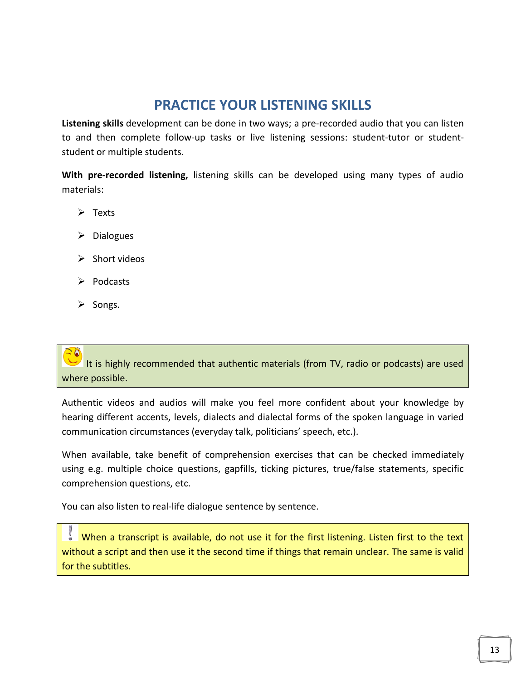### **PRACTICE YOUR LISTENING SKILLS**

**Listening skills** development can be done in two ways; a pre-recorded audio that you can listen to and then complete follow-up tasks or live listening sessions: student-tutor or studentstudent or multiple students.

**With pre-recorded listening,** listening skills can be developed using many types of audio materials:

- $\triangleright$  Texts
- $\triangleright$  Dialogues
- $\triangleright$  Short videos
- $\triangleright$  Podcasts
- **≻** Songs.

It is highly recommended that authentic materials (from TV, radio or podcasts) are used where possible.

Authentic videos and audios will make you feel more confident about your knowledge by hearing different accents, levels, dialects and dialectal forms of the spoken language in varied communication circumstances (everyday talk, politicians' speech, etc.).

When available, take benefit of comprehension exercises that can be checked immediately using e.g. multiple choice questions, gapfills, ticking pictures, true/false statements, specific comprehension questions, etc.

You can also listen to real-life dialogue sentence by sentence.

 $\blacksquare$  When a transcript is available, do not use it for the first listening. Listen first to the text without a script and then use it the second time if things that remain unclear. The same is valid for the subtitles.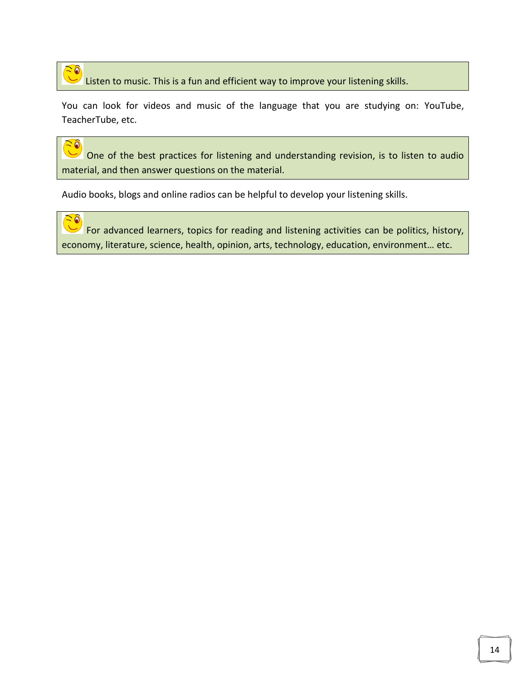#### $= 0$ Listen to music. This is a fun and efficient way to improve your listening skills.

You can look for videos and music of the language that you are studying on: YouTube, TeacherTube, etc.

One of the best practices for listening and understanding revision, is to listen to audio material, and then answer questions on the material.

Audio books, blogs and online radios can be helpful to develop your listening skills.

â

 $\Omega$ 

For advanced learners, topics for reading and listening activities can be politics, history, economy, literature, science, health, opinion, arts, technology, education, environment… etc.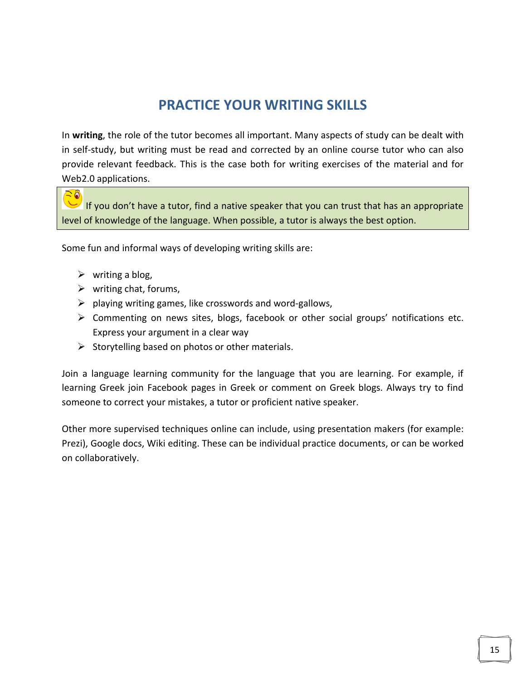## **PRACTICE YOUR WRITING SKILLS**

In **writing**, the role of the tutor becomes all important. Many aspects of study can be dealt with in self-study, but writing must be read and corrected by an online course tutor who can also provide relevant feedback. This is the case both for writing exercises of the material and for Web2.0 applications.

If you don't have a tutor, find a native speaker that you can trust that has an appropriate level of knowledge of the language. When possible, a tutor is always the best option.

Some fun and informal ways of developing writing skills are:

- $\triangleright$  writing a blog,
- $\triangleright$  writing chat, forums,
- $\triangleright$  playing writing games, like crosswords and word-gallows,
- Commenting on news sites, blogs, facebook or other social groups' notifications etc. Express your argument in a clear way
- $\triangleright$  Storytelling based on photos or other materials.

Join a language learning community for the language that you are learning. For example, if learning Greek join Facebook pages in Greek or comment on Greek blogs. Always try to find someone to correct your mistakes, a tutor or proficient native speaker.

Other more supervised techniques online can include, using presentation makers (for example: Prezi), Google docs, Wiki editing. These can be individual practice documents, or can be worked on collaboratively.